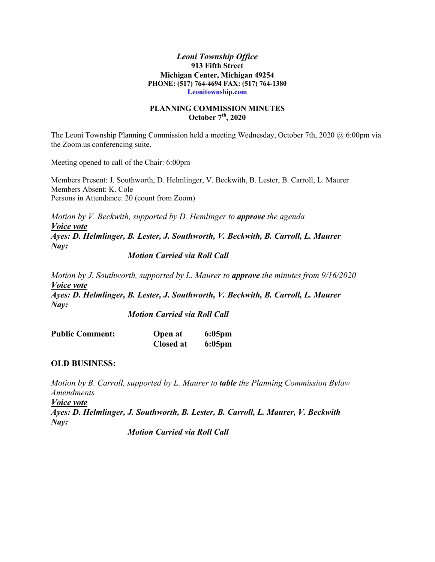#### *Leoni Township Office* **913 Fifth Street Michigan Center, Michigan 49254 PHONE: (517) 764-4694 FAX: (517) 764-1380 Leonitownship.com**

#### **PLANNING COMMISSION MINUTES October 7th, 2020**

The Leoni Township Planning Commission held a meeting Wednesday, October 7th, 2020 @ 6:00pm via the Zoom.us conferencing suite.

Meeting opened to call of the Chair: 6:00pm

Members Present: J. Southworth, D. Helmlinger, V. Beckwith, B. Lester, B. Carroll, L. Maurer Members Absent: K. Cole Persons in Attendance: 20 (count from Zoom)

*Motion by V. Beckwith, supported by D. Hemlinger to approve the agenda Voice vote Ayes: D. Helmlinger, B. Lester, J. Southworth, V. Beckwith, B. Carroll, L. Maurer Nay:*

## *Motion Carried via Roll Call*

*Motion by J. Southworth, supported by L. Maurer to approve the minutes from 9/16/2020 Voice vote Ayes: D. Helmlinger, B. Lester, J. Southworth, V. Beckwith, B. Carroll, L. Maurer Nay:*

*Motion Carried via Roll Call*

| <b>Public Comment:</b> | <b>Open at</b> | $6:05$ pm |
|------------------------|----------------|-----------|
|                        | Closed at      | $6:05$ pm |

# **OLD BUSINESS:**

*Motion by B. Carroll, supported by L. Maurer to table the Planning Commission Bylaw Amendments*

*Voice vote*

*Ayes: D. Helmlinger, J. Southworth, B. Lester, B. Carroll, L. Maurer, V. Beckwith Nay:*

*Motion Carried via Roll Call*